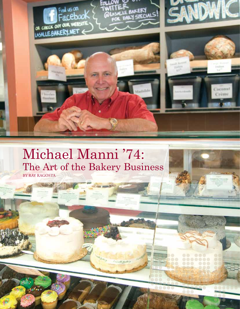

## Michael Manni '74: The Art of the Bakery Business By Ray Ragosta

of class passes (NYS)

*12*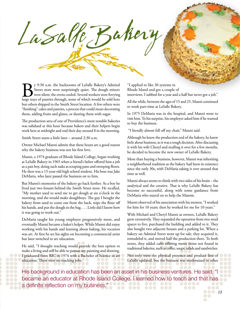**By** 9:30 a.m. the backrooms of LaSalle Bakery's Admiral Street store were surprisingly quiet. The dough mixers were ferrying large trays of pastries through, some of which would be sold here Street store were surprisingly quiet. The dough mixers were silent; the ovens cooled. Several workers were ferrying but others shipped to the Smith Street location. A few others were "finishing" cakes and pastries, a process that could mean decorating them, adding fruits and glazes, or dusting them with sugar.

LaSalle Bahery

The production area of one of Providence's most notable bakeries was subdued at this hour because bakers and their helpers begin work here at midnight and end their day around 8 in the morning.

Smith Street starts a little later – around 2:30 a.m.

Owner Michael Manni admits that these hours are a good reason why the bakery business was not his first love.

Manni, a 1974 graduate of Rhode Island College, began working at LaSalle Bakery in 1965 when a friend's father offered him a job as a pan boy, doing such tasks as scraping pans and sweeping floors. He then was a 15-year-old high school student. His boss was Jake DeMaria, who later passed the business on to him.

But Manni's memories of the bakery go back further. As a boy he lived just two houses behind the Smith Street store. He recalled, "My mother used to send me to get dough at six o'clock in the morning, and she would make doughboys. The guy I bought the bakery from used to come out from the back, wipe the flour off his hands, and put the dough in the bag. . . . Little did I know how it was going to work out."

DeMaria taught his young employee progressively more, and eventually Manni became a baker's helper. While Manni did enjoy working with his hands and learning about baking, his vocation was art. At first he set his sights on becoming a commercial artist but later switched to art education.

He said, "I thought teaching would provide the best option to make a living and still be able to pursue my painting and drawing. I graduated from RIC in 1974 with a Bachelor of Science in art education. There were no teaching jobs.

"I applied to like 30 systems in Rhode Island and got a couple of interviews. I subbed for a year and a half but never got a job."

All the while, between the ages of 15 and 25, Manni continued to work part-time at LaSalle Bakery.

In 1975 DeMaria was in the hospital, and Manni went to visit him. To his surprise, his employer asked him if he wanted to buy the business.

"I literally almost fell off my chair," Manni said.

Although he knew the production end of the bakery, he knew little about business, so it was a tough decision. After discussing it with his wife Cheryl and mulling it over for a few months, he decided to become the new owner of LaSalle Bakery.

More than buying a business, however, Manni was inheriting a neighborhood tradition as the bakery had been in existence since the early 30s, with DeMaria taking it over around that time as well.

Manni always seems to think with two sides of his brain – the analytical and the creative. That is why LaSalle Bakery has become so successful, along with some guidance from DeMaria who stayed on to help the Mannis.

Manni observed of his association with his mentor, "I worked for him for 10 years; then he worked for me for 10 years."

With Michael and Cheryl Manni as owners, LaSalle Bakery grew extensively. They expanded the operation from two retail spaces to five, purchased the building and added to it. They also bought two adjacent houses and a parking lot. When a bakery on Admiral Street went up for sale, they acquired it, remodeled it, and moved half the production there. To both stores, they added cafés offering menu items not found in traditional bakeries, such as coffee, soups, salads and sandwiches.

Not only were the physical presence and product line of LaSalle updated, but the business was modernized in other

His background in education has been an asset in his business ventures. He said, "I became an educator at Rhode Island College. I learned how to teach and that has a definite reflection on my business." ...